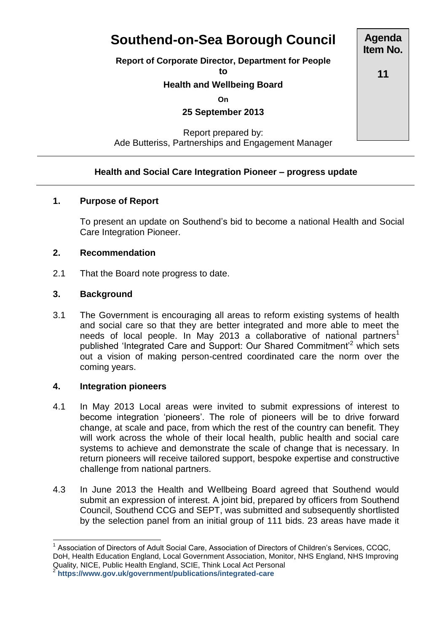# **Southend-on-Sea Borough Council**

**Report of Corporate Director, Department for People**

**to**

# **Health and Wellbeing Board**

**On**

**25 September 2013**

Report prepared by: Ade Butteriss, Partnerships and Engagement Manager

## **Health and Social Care Integration Pioneer – progress update**

#### **1. Purpose of Report**

To present an update on Southend's bid to become a national Health and Social Care Integration Pioneer.

#### **2. Recommendation**

2.1 That the Board note progress to date.

#### **3. Background**

3.1 The Government is encouraging all areas to reform existing systems of health and social care so that they are better integrated and more able to meet the needs of local people. In May 2013 a collaborative of national partners<sup>1</sup> published 'Integrated Care and Support: Our Shared Commitment<sup>2</sup> which sets out a vision of making person-centred coordinated care the norm over the coming years.

#### **4. Integration pioneers**

- 4.1 In May 2013 Local areas were invited to submit expressions of interest to become integration 'pioneers'. The role of pioneers will be to drive forward change, at scale and pace, from which the rest of the country can benefit. They will work across the whole of their local health, public health and social care systems to achieve and demonstrate the scale of change that is necessary. In return pioneers will receive tailored support, bespoke expertise and constructive challenge from national partners.
- 4.3 In June 2013 the Health and Wellbeing Board agreed that Southend would submit an expression of interest. A joint bid, prepared by officers from Southend Council, Southend CCG and SEPT, was submitted and subsequently shortlisted by the selection panel from an initial group of 111 bids. 23 areas have made it

**<https://www.gov.uk/government/publications/integrated-care>**

**Agenda Item No.**

**11**

 1 Association of Directors of Adult Social Care, Association of Directors of Children's Services, CCQC, DoH, Health Education England, Local Government Association, Monitor, NHS England, NHS Improving Quality, NICE, Public Health England, SCIE, Think Local Act Personal<br><sup>2</sup> https://www.gov.uk/government/publicationa/integrated.core